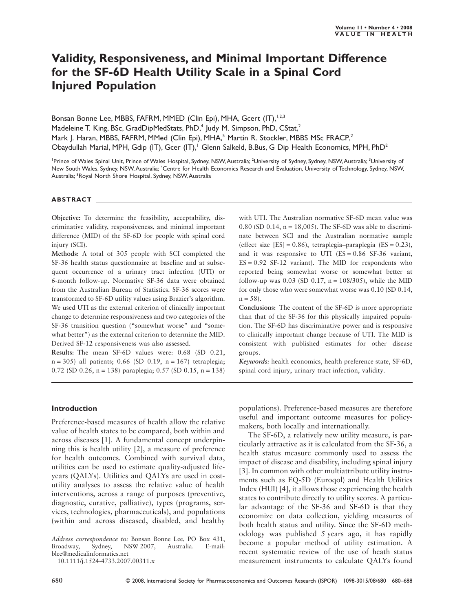## **Validity, Responsiveness, and Minimal Important Difference for the SF-6D Health Utility Scale in a Spinal Cord Injured Population**

Bonsan Bonne Lee, MBBS, FAFRM, MMED (Clin Epi), MHA, Gcert (IT),<sup>1,2,3</sup> Madeleine T. King, BSc, GradDipMedStats, PhD,<sup>4</sup> Judy M. Simpson, PhD, CStat,<sup>2</sup> Mark J. Haran, MBBS, FAFRM, MMed (Clin Epi), MHA,<sup>5</sup> Martin R. Stockler, MBBS MSc FRACP,<sup>2</sup> Obaydullah Marial, MPH, Gdip (IT), Gcer (IT),<sup>1</sup> Glenn Salkeld, B.Bus, G Dip Health Economics, MPH, PhD<sup>2</sup>

<sup>1</sup>Prince of Wales Spinal Unit, Prince of Wales Hospital, Sydney, NSW, Australia; <sup>2</sup>University of Sydney, Sydney, NSW, Australia; <sup>3</sup>University of New South Wales, Sydney, NSW, Australia; <sup>4</sup>Centre for Health Economics Research and Evaluation, University of Technology, Sydney, NSW, Australia; <sup>5</sup>Royal North Shore Hospital, Sydney, NSW, Australia

#### **ABSTRACT**

**Objective:** To determine the feasibility, acceptability, discriminative validity, responsiveness, and minimal important difference (MID) of the SF-6D for people with spinal cord injury (SCI).

**Methods:** A total of 305 people with SCI completed the SF-36 health status questionnaire at baseline and at subsequent occurrence of a urinary tract infection (UTI) or 6-month follow-up. Normative SF-36 data were obtained from the Australian Bureau of Statistics. SF-36 scores were transformed to SF-6D utility values using Brazier's algorithm. We used UTI as the external criterion of clinically important change to determine responsiveness and two categories of the SF-36 transition question ("somewhat worse" and "somewhat better") as the external criterion to determine the MID. Derived SF-12 responsiveness was also assessed.

**Results:** The mean SF-6D values were: 0.68 (SD 0.21,  $n = 305$ ) all patients; 0.66 (SD 0.19,  $n = 167$ ) tetraplegia; 0.72 (SD 0.26, n = 138) paraplegia; 0.57 (SD 0.15, n = 138)

with UTI. The Australian normative SF-6D mean value was 0.80 (SD 0.14,  $n = 18,005$ ). The SF-6D was able to discriminate between SCI and the Australian normative sample (effect size  $[ES] = 0.86$ ), tetraplegia–paraplegia ( $ES = 0.23$ ), and it was responsive to UTI  $(ES = 0.86 SF - 36 variant,$  $ES = 0.92$  SF-12 variant). The MID for respondents who reported being somewhat worse or somewhat better at follow-up was 0.03 (SD 0.17,  $n = 108/305$ ), while the MID for only those who were somewhat worse was 0.10 (SD 0.14,  $n = 58$ ).

**Conclusions:** The content of the SF-6D is more appropriate than that of the SF-36 for this physically impaired population. The SF-6D has discriminative power and is responsive to clinically important change because of UTI. The MID is consistent with published estimates for other disease groups.

*Keywords:* health economics, health preference state, SF-6D, spinal cord injury, urinary tract infection, validity.

#### **Introduction**

Preference-based measures of health allow the relative value of health states to be compared, both within and across diseases [1]. A fundamental concept underpinning this is health utility [2], a measure of preference for health outcomes. Combined with survival data, utilities can be used to estimate quality-adjusted lifeyears (QALYs). Utilities and QALYs are used in costutility analyses to assess the relative value of health interventions, across a range of purposes (preventive, diagnostic, curative, palliative), types (programs, services, technologies, pharmaceuticals), and populations (within and across diseased, disabled, and healthy

*Address correspondence to:* Bonsan Bonne Lee, PO Box 431, Broadway, Sydney, NSW 2007, Australia. E-mail: blee@medicalinformatics.net

10.1111/j.1524-4733.2007.00311.x

populations). Preference-based measures are therefore useful and important outcome measures for policymakers, both locally and internationally.

The SF-6D, a relatively new utility measure, is particularly attractive as it is calculated from the SF-36, a health status measure commonly used to assess the impact of disease and disability, including spinal injury [3]. In common with other multiattribute utility instruments such as EQ-5D (Euroqol) and Health Utilities Index (HUI) [4], it allows those experiencing the health states to contribute directly to utility scores. A particular advantage of the SF-36 and SF-6D is that they economize on data collection, yielding measures of both health status and utility. Since the SF-6D methodology was published 5 years ago, it has rapidly become a popular method of utility estimation. A recent systematic review of the use of heath status measurement instruments to calculate QALYs found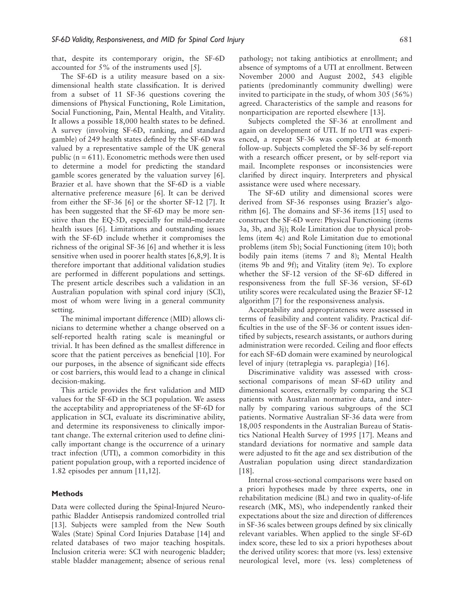that, despite its contemporary origin, the SF-6D accounted for 5% of the instruments used [5].

The SF-6D is a utility measure based on a sixdimensional health state classification. It is derived from a subset of 11 SF-36 questions covering the dimensions of Physical Functioning, Role Limitation, Social Functioning, Pain, Mental Health, and Vitality. It allows a possible 18,000 health states to be defined. A survey (involving SF-6D, ranking, and standard gamble) of 249 health states defined by the SF-6D was valued by a representative sample of the UK general public ( $n = 611$ ). Econometric methods were then used to determine a model for predicting the standard gamble scores generated by the valuation survey [6]. Brazier et al. have shown that the SF-6D is a viable alternative preference measure [6]. It can be derived from either the SF-36 [6] or the shorter SF-12 [7]. It has been suggested that the SF-6D may be more sensitive than the EQ-5D, especially for mild–moderate health issues [6]. Limitations and outstanding issues with the SF-6D include whether it compromises the richness of the original SF-36 [6] and whether it is less sensitive when used in poorer health states [6,8,9]. It is therefore important that additional validation studies are performed in different populations and settings. The present article describes such a validation in an Australian population with spinal cord injury (SCI), most of whom were living in a general community setting.

The minimal important difference (MID) allows clinicians to determine whether a change observed on a self-reported health rating scale is meaningful or trivial. It has been defined as the smallest difference in score that the patient perceives as beneficial [10]. For our purposes, in the absence of significant side effects or cost barriers, this would lead to a change in clinical decision-making.

This article provides the first validation and MID values for the SF-6D in the SCI population. We assess the acceptability and appropriateness of the SF-6D for application in SCI, evaluate its discriminative ability, and determine its responsiveness to clinically important change. The external criterion used to define clinically important change is the occurrence of a urinary tract infection (UTI), a common comorbidity in this patient population group, with a reported incidence of 1.82 episodes per annum [11,12].

### **Methods**

Data were collected during the Spinal-Injured Neuropathic Bladder Antisepsis randomized controlled trial [13]. Subjects were sampled from the New South Wales (State) Spinal Cord Injuries Database [14] and related databases of two major teaching hospitals. Inclusion criteria were: SCI with neurogenic bladder; stable bladder management; absence of serious renal

pathology; not taking antibiotics at enrollment; and absence of symptoms of a UTI at enrollment. Between November 2000 and August 2002, 543 eligible patients (predominantly community dwelling) were invited to participate in the study, of whom 305 (56%) agreed. Characteristics of the sample and reasons for nonparticipation are reported elsewhere [13].

Subjects completed the SF-36 at enrollment and again on development of UTI. If no UTI was experienced, a repeat SF-36 was completed at 6-month follow-up. Subjects completed the SF-36 by self-report with a research officer present, or by self-report via mail. Incomplete responses or inconsistencies were clarified by direct inquiry. Interpreters and physical assistance were used where necessary.

The SF-6D utility and dimensional scores were derived from SF-36 responses using Brazier's algorithm [6]. The domains and SF-36 items [15] used to construct the SF-6D were: Physical Functioning (items 3a, 3b, and 3j); Role Limitation due to physical problems (item 4c) and Role Limitation due to emotional problems (item 5b); Social Functioning (item 10); both bodily pain items (items 7 and 8); Mental Health (items 9b and 9f); and Vitality (item 9e). To explore whether the SF-12 version of the SF-6D differed in responsiveness from the full SF-36 version, SF-6D utility scores were recalculated using the Brazier SF-12 algorithm [7] for the responsiveness analysis.

Acceptability and appropriateness were assessed in terms of feasibility and content validity. Practical difficulties in the use of the SF-36 or content issues identified by subjects, research assistants, or authors during administration were recorded. Ceiling and floor effects for each SF-6D domain were examined by neurological level of injury (tetraplegia vs. paraplegia) [16].

Discriminative validity was assessed with crosssectional comparisons of mean SF-6D utility and dimensional scores, externally by comparing the SCI patients with Australian normative data, and internally by comparing various subgroups of the SCI patients. Normative Australian SF-36 data were from 18,005 respondents in the Australian Bureau of Statistics National Health Survey of 1995 [17]. Means and standard deviations for normative and sample data were adjusted to fit the age and sex distribution of the Australian population using direct standardization [18].

Internal cross-sectional comparisons were based on a priori hypotheses made by three experts, one in rehabilitation medicine (BL) and two in quality-of-life research (MK, MS), who independently ranked their expectations about the size and direction of differences in SF-36 scales between groups defined by six clinically relevant variables. When applied to the single SF-6D index score, these led to six a priori hypotheses about the derived utility scores: that more (vs. less) extensive neurological level, more (vs. less) completeness of